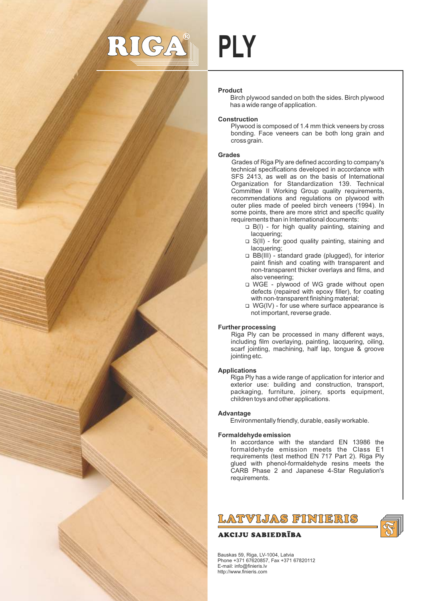# $S/2$

# **PLY**

# **Product**

Birch plywood sanded on both the sides. Birch plywood has a wide range of application.

# **Construction**

Plywood is composed of 1.4 mm thick veneers by cross bonding. Face veneers can be both long grain and cross grain.

## **Grades**

Grades of Riga Ply are defined according to company's technical specifications developed in accordance with SFS 2413, as well as on the basis of International Organization for Standardization 139. Technical Committee II Working Group quality requirements, recommendations and regulations on plywood with outer plies made of peeled birch veneers (1994). In some points, there are more strict and specific quality requirements than in International documents:

- $\Box$  B(I) for high quality painting, staining and lacquering;
- $\Box$  S(II) for good quality painting, staining and lacquering:
- 1 BB(III) standard grade (plugged), for interior paint finish and coating with transparent and non-transparent thicker overlays and films, and also veneering;
- □ WGE plywood of WG grade without open defects (repaired with epoxy filler), for coating with non-transparent finishing material;
- $\Box$  WG(IV) for use where surface appearance is not important, reverse grade.

#### **Further processing**

Riga Ply can be processed in many different ways, including film overlaying, painting, lacquering, oiling, scarf jointing, machining, half lap, tongue & groove jointing etc.

#### **Applications**

Riga Ply has a wide range of application for interior and exterior use: building and construction, transport, packaging, furniture, joinery, sports equipment, children toys and other applications.

#### **Advantage**

Environmentally friendly, durable, easily workable.

#### **Formaldehyde emission**

In accordance with the standard EN 13986 the formaldehyde emission meets the Class E1 requirements (test method EN 717 Part 2). Riga Ply glued with phenol-formaldehyde resins meets the CARB Phase 2 and Japanese 4-Star Regulation's requirements.

LATVIJAS FINIERIS

# **AKCIJU SABIEDRĪBA**

Bauskas 59, Riga, LV-1004, Latvia Phone +371 67620857, Fax +371 67820112 E-mail: info@finieris.lv http://www.finieris.com